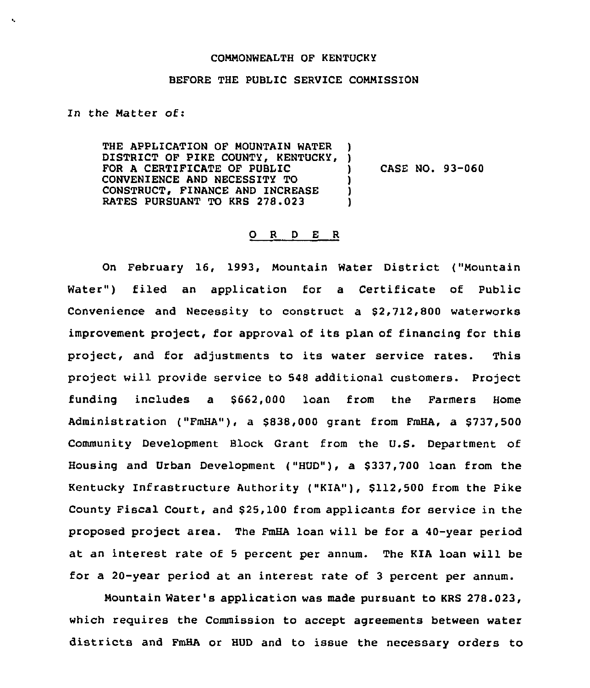## COMMONWEALTH QF KENTUCKY

## BEFORE THE PUBLIC SERVICE COMMISSION

In the Matter of:

THE APPLICATION OF MOUNTAIN WATER THE APPLICATION OF MOUNTAIN WATER )<br>DISTRICT OF PIKE COUNTY, KENTUCKY, ) FOR A CERTIFICATE OF PUBLIC CONVENIENCE AND NECESSITY TO CONSTRUCT, FINANCE AND INCREASE RATES PURSUANT TO KRS 278.023 !<br>. ) ) )

) CASE NO. 93-060

## 0 <sup>R</sup> <sup>D</sup> E <sup>R</sup>

On February 16, 1993, Mountain Water District ("Mountain Water") filed an application for a Certificate of Public Convenience and Necessity to construct a \$2,712,800 waterworks improvement project, for approval of its plan of financing for this project, and for adjustments to its water service rates. This project will provide service to 548 additional customers. Project funding includes a \$662,000 loan from the Farmers Home Administration ("FmHA"), a \$838,000 grant from FmHA, a \$737,500 Community Development Block Grant from the U.S. Department of Housing and Urban Development ("HUD"), a \$ 337,700 loan from the Kentucky Infrastructure Authority ("KIA"), \$112,500 from the Pike County Fiscal Court, and \$ 25,100 from applicants for service in the proposed project area. The FmHA loan will be for a 40-year period at an interest rate of <sup>5</sup> percent per annum. The KIA loan will be for a 20-year period at an interest rate of <sup>3</sup> percent per annum.

Mountain Water's application was made pursuant to KRS 278.023, which requires the Commission to accept agreements between water districts and FmHA or HUD and to issue the necessary orders to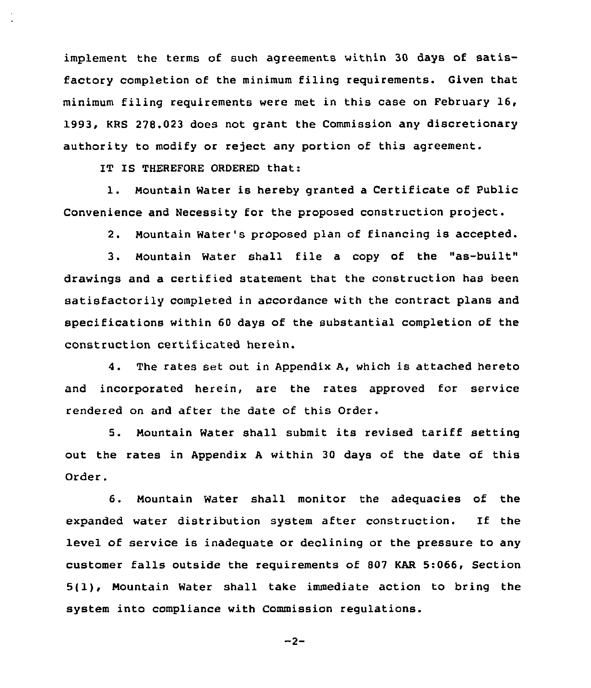implement the terms of such agreements within 30 days of satisfactory completion of the minimum filing requirements. Given that minimum filing requirements were met in this case on February 16, 1993, KRS 278.023 does not grant the Commission any discretionary authority to modify or reject any portion of this agreement.

IT IS THEREFORE ORDERED that:

1. Mountain Water is hereby granted <sup>a</sup> Certificate of Public Convenience and Necessity for the proposed construction project.

2. Nountain Water's proposed plan of financing is accepted.

3. Nountain Water shall file <sup>a</sup> copy of the "as-built" drawings and a certified statement that the construction has been satisfactorily completed in accordance with the contract plans and specifications within 60 days of the substantial completion of the construction certificated herein.

4. The rates set out in Appendix A, which is attached hereto and incorporated herein, are the rates approved for service rendered on and after the date of this Order.

5. Mountain Water shall submit its revised tariff setting out the rates in Appendix <sup>A</sup> within 30 days of the date of this Order.

6. Mountain Water shall monitor the adequacies of the expanded water distribution system after construction. If the level of service is inadequate or declining or the pressure to any customer falls outside the requirements of 807 KAR 5:066, Section 5(1), Mountain Water shall take immediate action to bring the system into compliance with Commission regulations.

$$
-2-
$$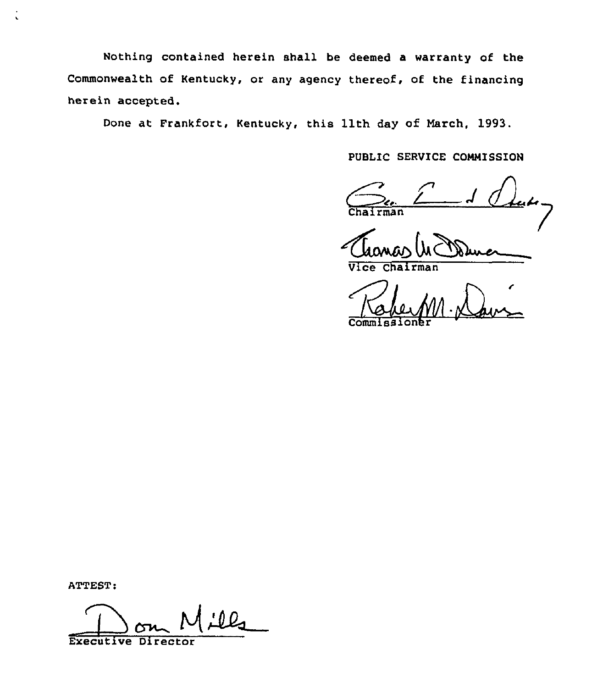Nothing contained herein shall be deemed a warranty of the Commonwealth of Kentucky, or any agency thereof. of the financing herein accepted.

Done at Frankfort, Kentucky, this 11th day of March, 1993.

PUBLIC SERVICE COMMISSION

**Chairman** 

Vice Chairman

Commission

ATTEST:

 $\ddot{\cdot}$ 

Executiv  $\bigoplus$ Directo  $M$  ill